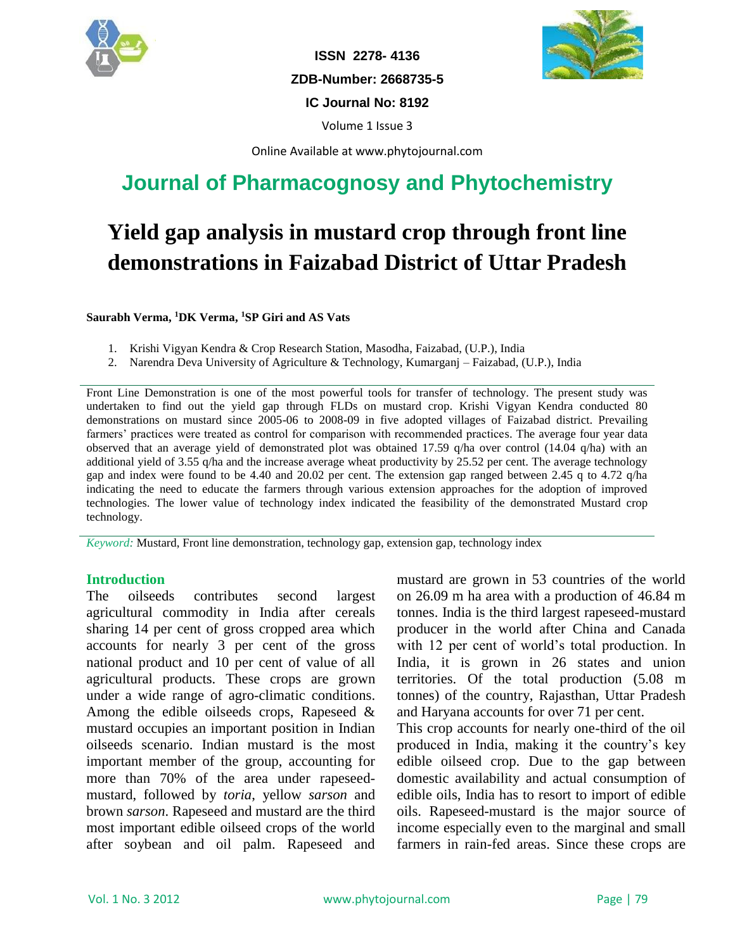

**ISSN 2278- 4136 ZDB-Number: 2668735-5 IC Journal No: 8192**



Volume 1 Issue 3

Online Available at www.phytojournal.com

## **Journal of Pharmacognosy and Phytochemistry**

# **Yield gap analysis in mustard crop through front line demonstrations in Faizabad District of Uttar Pradesh**

**Saurabh Verma, <sup>1</sup>DK Verma, <sup>1</sup>SP Giri and AS Vats**

- 1. Krishi Vigyan Kendra & Crop Research Station, Masodha, Faizabad, (U.P.), India
- 2. Narendra Deva University of Agriculture & Technology, Kumarganj Faizabad, (U.P.), India

Front Line Demonstration is one of the most powerful tools for transfer of technology. The present study was undertaken to find out the yield gap through FLDs on mustard crop. Krishi Vigyan Kendra conducted 80 demonstrations on mustard since 2005-06 to 2008-09 in five adopted villages of Faizabad district. Prevailing farmers' practices were treated as control for comparison with recommended practices. The average four year data observed that an average yield of demonstrated plot was obtained 17.59 q/ha over control (14.04 q/ha) with an additional yield of 3.55 q/ha and the increase average wheat productivity by 25.52 per cent. The average technology gap and index were found to be 4.40 and 20.02 per cent. The extension gap ranged between 2.45 q to 4.72 q/ha indicating the need to educate the farmers through various extension approaches for the adoption of improved technologies. The lower value of technology index indicated the feasibility of the demonstrated Mustard crop technology.

*Keyword:* Mustard, Front line demonstration, technology gap, extension gap, technology index

#### **Introduction**

The oilseeds contributes second largest agricultural commodity in India after cereals sharing 14 per cent of gross cropped area which accounts for nearly 3 per cent of the gross national product and 10 per cent of value of all agricultural products. These crops are grown under a wide range of agro-climatic conditions. Among the edible oilseeds crops, Rapeseed & mustard occupies an important position in Indian oilseeds scenario. Indian mustard is the most important member of the group, accounting for more than 70% of the area under rapeseedmustard, followed by *toria*, yellow *sarson* and brown *sarson*. Rapeseed and mustard are the third most important edible oilseed crops of the world after soybean and oil palm. Rapeseed and

mustard are grown in 53 countries of the world on 26.09 m ha area with a production of 46.84 m tonnes. India is the third largest rapeseed-mustard producer in the world after China and Canada with 12 per cent of world's total production. In India, it is grown in 26 states and union territories. Of the total production (5.08 m tonnes) of the country, Rajasthan, Uttar Pradesh and Haryana accounts for over 71 per cent.

This crop accounts for nearly one-third of the oil produced in India, making it the country's key edible oilseed crop. Due to the gap between domestic availability and actual consumption of edible oils, India has to resort to import of edible oils. Rapeseed-mustard is the major source of income especially even to the marginal and small farmers in rain-fed areas. Since these crops are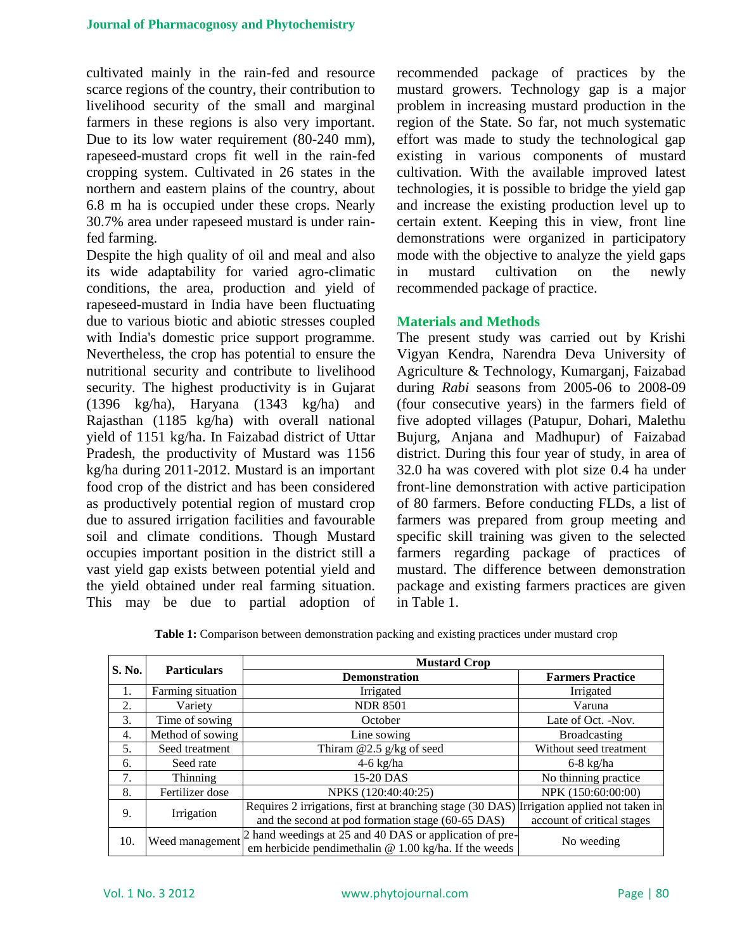cultivated mainly in the rain-fed and resource scarce regions of the country, their contribution to livelihood security of the small and marginal farmers in these regions is also very important. Due to its low water requirement (80-240 mm), rapeseed-mustard crops fit well in the rain-fed cropping system. Cultivated in 26 states in the northern and eastern plains of the country, about 6.8 m ha is occupied under these crops. Nearly 30.7% area under rapeseed mustard is under rainfed farming.

Despite the high quality of oil and meal and also its wide adaptability for varied agro-climatic conditions, the area, production and yield of rapeseed-mustard in India have been fluctuating due to various biotic and abiotic stresses coupled with India's domestic price support programme. Nevertheless, the crop has potential to ensure the nutritional security and contribute to livelihood security. The highest productivity is in Gujarat (1396 kg/ha), Haryana (1343 kg/ha) and Rajasthan (1185 kg/ha) with overall national yield of 1151 kg/ha. In Faizabad district of Uttar Pradesh, the productivity of Mustard was 1156 kg/ha during 2011-2012. Mustard is an important food crop of the district and has been considered as productively potential region of mustard crop due to assured irrigation facilities and favourable soil and climate conditions. Though Mustard occupies important position in the district still a vast yield gap exists between potential yield and the yield obtained under real farming situation. This may be due to partial adoption of recommended package of practices by the mustard growers. Technology gap is a major problem in increasing mustard production in the region of the State. So far, not much systematic effort was made to study the technological gap existing in various components of mustard cultivation. With the available improved latest technologies, it is possible to bridge the yield gap and increase the existing production level up to certain extent. Keeping this in view, front line demonstrations were organized in participatory mode with the objective to analyze the yield gaps in mustard cultivation on the newly recommended package of practice.

#### **Materials and Methods**

The present study was carried out by Krishi Vigyan Kendra, Narendra Deva University of Agriculture & Technology, Kumarganj, Faizabad during *Rabi* seasons from 2005-06 to 2008-09 (four consecutive years) in the farmers field of five adopted villages (Patupur, Dohari, Malethu Bujurg, Anjana and Madhupur) of Faizabad district. During this four year of study, in area of 32.0 ha was covered with plot size 0.4 ha under front-line demonstration with active participation of 80 farmers. Before conducting FLDs, a list of farmers was prepared from group meeting and specific skill training was given to the selected farmers regarding package of practices of mustard. The difference between demonstration package and existing farmers practices are given in Table 1.

|  |  | Table 1: Comparison between demonstration packing and existing practices under mustard crop |  |  |  |  |
|--|--|---------------------------------------------------------------------------------------------|--|--|--|--|
|  |  |                                                                                             |  |  |  |  |

|                  |                    | <b>Mustard Crop</b>                                                                       |                            |  |  |  |  |  |
|------------------|--------------------|-------------------------------------------------------------------------------------------|----------------------------|--|--|--|--|--|
| S. No.           | <b>Particulars</b> | <b>Demonstration</b>                                                                      | <b>Farmers Practice</b>    |  |  |  |  |  |
| 1.               | Farming situation  | Irrigated                                                                                 | Irrigated                  |  |  |  |  |  |
| 2.               | Variety            | <b>NDR 8501</b>                                                                           | Varuna                     |  |  |  |  |  |
| 3.               | Time of sowing     | October                                                                                   | Late of Oct. -Nov.         |  |  |  |  |  |
| $\overline{4}$ . | Method of sowing   | Line sowing                                                                               | Broadcasting               |  |  |  |  |  |
| 5.               | Seed treatment     | Thiram $@2.5$ g/kg of seed                                                                | Without seed treatment     |  |  |  |  |  |
| 6.               | Seed rate          | $4-6$ kg/ha                                                                               | $6-8$ kg/ha                |  |  |  |  |  |
| 7.               | Thinning           | 15-20 DAS                                                                                 | No thinning practice       |  |  |  |  |  |
| 8.               | Fertilizer dose    | NPKS (120:40:40:25)                                                                       | NPK (150:60:00:00)         |  |  |  |  |  |
| 9.               | Irrigation         | Requires 2 irrigations, first at branching stage (30 DAS) Irrigation applied not taken in |                            |  |  |  |  |  |
|                  |                    | and the second at pod formation stage (60-65 DAS)                                         | account of critical stages |  |  |  |  |  |
| 10.              | Weed management    | 2 hand weedings at 25 and 40 DAS or application of pre-                                   | No weeding                 |  |  |  |  |  |
|                  |                    | em herbicide pendimethalin @ $1.00 \text{ kg/ha}$ . If the weeds                          |                            |  |  |  |  |  |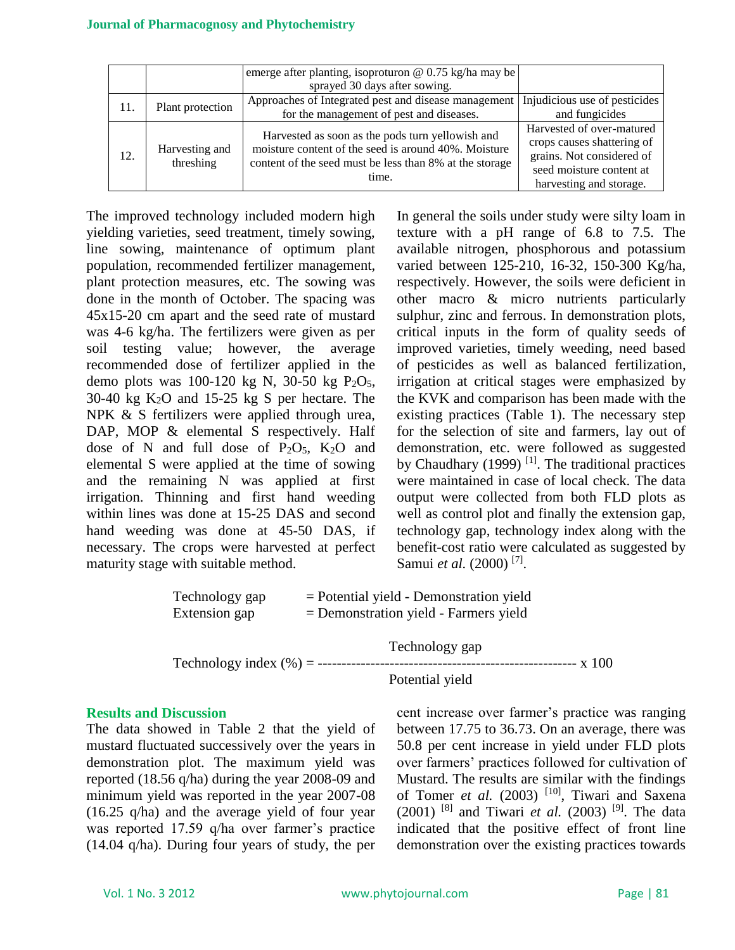|     |                             | emerge after planting, isoproturon @ $0.75$ kg/ha may be                                                                                                                     |                                                                                                                                             |
|-----|-----------------------------|------------------------------------------------------------------------------------------------------------------------------------------------------------------------------|---------------------------------------------------------------------------------------------------------------------------------------------|
|     |                             | sprayed 30 days after sowing.                                                                                                                                                |                                                                                                                                             |
| 11. | Plant protection            | Approaches of Integrated pest and disease management                                                                                                                         | Injudicious use of pesticides                                                                                                               |
|     |                             | for the management of pest and diseases.                                                                                                                                     | and fungicides                                                                                                                              |
| 12. | Harvesting and<br>threshing | Harvested as soon as the pods turn yellowish and<br>moisture content of the seed is around 40%. Moisture<br>content of the seed must be less than 8% at the storage<br>time. | Harvested of over-matured<br>crops causes shattering of<br>grains. Not considered of<br>seed moisture content at<br>harvesting and storage. |

The improved technology included modern high yielding varieties, seed treatment, timely sowing, line sowing, maintenance of optimum plant population, recommended fertilizer management, plant protection measures, etc. The sowing was done in the month of October. The spacing was 45x15-20 cm apart and the seed rate of mustard was 4-6 kg/ha. The fertilizers were given as per soil testing value; however, the average recommended dose of fertilizer applied in the demo plots was  $100-120$  kg N,  $30-50$  kg P<sub>2</sub>O<sub>5</sub>, 30-40 kg  $K_2O$  and 15-25 kg S per hectare. The NPK & S fertilizers were applied through urea, DAP, MOP & elemental S respectively. Half dose of N and full dose of  $P_2O_5$ ,  $K_2O$  and elemental S were applied at the time of sowing and the remaining N was applied at first irrigation. Thinning and first hand weeding within lines was done at 15-25 DAS and second hand weeding was done at 45-50 DAS, if necessary. The crops were harvested at perfect maturity stage with suitable method.

In general the soils under study were silty loam in texture with a pH range of 6.8 to 7.5. The available nitrogen, phosphorous and potassium varied between 125-210, 16-32, 150-300 Kg/ha, respectively. However, the soils were deficient in other macro & micro nutrients particularly sulphur, zinc and ferrous. In demonstration plots, critical inputs in the form of quality seeds of improved varieties, timely weeding, need based of pesticides as well as balanced fertilization, irrigation at critical stages were emphasized by the KVK and comparison has been made with the existing practices (Table 1). The necessary step for the selection of site and farmers, lay out of demonstration, etc. were followed as suggested by Chaudhary (1999)  $[1]$ . The traditional practices were maintained in case of local check. The data output were collected from both FLD plots as well as control plot and finally the extension gap, technology gap, technology index along with the benefit-cost ratio were calculated as suggested by Samui *et al.* (2000)<sup>[7]</sup>.

| Technology gap | $=$ Potential yield - Demonstration yield |
|----------------|-------------------------------------------|
| Extension gap  | $=$ Demonstration yield - Farmers yield   |

```
Technology gap
Technology index (%) = ------------------------------------------------------ x 100
```
Potential yield

### **Results and Discussion**

The data showed in Table 2 that the yield of mustard fluctuated successively over the years in demonstration plot. The maximum yield was reported (18.56 q/ha) during the year 2008-09 and minimum yield was reported in the year 2007-08 (16.25 q/ha) and the average yield of four year was reported 17.59 q/ha over farmer's practice (14.04 q/ha). During four years of study, the per

cent increase over farmer's practice was ranging between 17.75 to 36.73. On an average, there was 50.8 per cent increase in yield under FLD plots over farmers' practices followed for cultivation of Mustard. The results are similar with the findings of Tomer *et al.* (2003) <sup>[10]</sup>, Tiwari and Saxena (2001) <sup>[8]</sup> and Tiwari *et al.* (2003) <sup>[9]</sup>. The data indicated that the positive effect of front line demonstration over the existing practices towards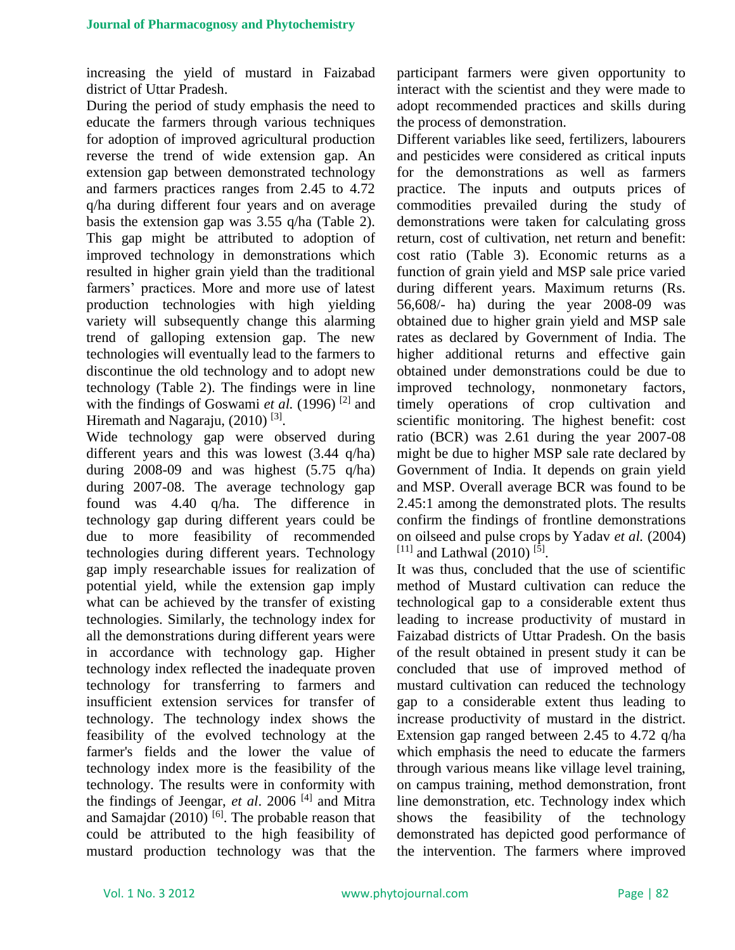increasing the yield of mustard in Faizabad district of Uttar Pradesh.

During the period of study emphasis the need to educate the farmers through various techniques for adoption of improved agricultural production reverse the trend of wide extension gap. An extension gap between demonstrated technology and farmers practices ranges from 2.45 to 4.72 q/ha during different four years and on average basis the extension gap was 3.55 q/ha (Table 2). This gap might be attributed to adoption of improved technology in demonstrations which resulted in higher grain yield than the traditional farmers' practices. More and more use of latest production technologies with high yielding variety will subsequently change this alarming trend of galloping extension gap. The new technologies will eventually lead to the farmers to discontinue the old technology and to adopt new technology (Table 2). The findings were in line with the findings of Goswami *et al.* (1996)<sup>[2]</sup> and Hiremath and Nagaraju, (2010)<sup>[3]</sup>.

Wide technology gap were observed during different years and this was lowest (3.44 q/ha) during 2008-09 and was highest (5.75 q/ha) during 2007-08. The average technology gap found was 4.40 q/ha. The difference in technology gap during different years could be due to more feasibility of recommended technologies during different years. Technology gap imply researchable issues for realization of potential yield, while the extension gap imply what can be achieved by the transfer of existing technologies. Similarly, the technology index for all the demonstrations during different years were in accordance with technology gap. Higher technology index reflected the inadequate proven technology for transferring to farmers and insufficient extension services for transfer of technology. The technology index shows the feasibility of the evolved technology at the farmer's fields and the lower the value of technology index more is the feasibility of the technology. The results were in conformity with the findings of Jeengar, *et al*. 2006 [4] and Mitra and Samajdar  $(2010)$ <sup>[6]</sup>. The probable reason that could be attributed to the high feasibility of mustard production technology was that the

participant farmers were given opportunity to interact with the scientist and they were made to adopt recommended practices and skills during the process of demonstration.

Different variables like seed, fertilizers, labourers and pesticides were considered as critical inputs for the demonstrations as well as farmers practice. The inputs and outputs prices of commodities prevailed during the study of demonstrations were taken for calculating gross return, cost of cultivation, net return and benefit: cost ratio (Table 3). Economic returns as a function of grain yield and MSP sale price varied during different years. Maximum returns (Rs. 56,608/- ha) during the year 2008-09 was obtained due to higher grain yield and MSP sale rates as declared by Government of India. The higher additional returns and effective gain obtained under demonstrations could be due to improved technology, nonmonetary factors, timely operations of crop cultivation and scientific monitoring. The highest benefit: cost ratio (BCR) was 2.61 during the year 2007-08 might be due to higher MSP sale rate declared by Government of India. It depends on grain yield and MSP. Overall average BCR was found to be 2.45:1 among the demonstrated plots. The results confirm the findings of frontline demonstrations on oilseed and pulse crops by Yadav *et al.* (2004)  $^{[11]}$  and Lathwal (2010)<sup>[5]</sup>.

It was thus, concluded that the use of scientific method of Mustard cultivation can reduce the technological gap to a considerable extent thus leading to increase productivity of mustard in Faizabad districts of Uttar Pradesh. On the basis of the result obtained in present study it can be concluded that use of improved method of mustard cultivation can reduced the technology gap to a considerable extent thus leading to increase productivity of mustard in the district. Extension gap ranged between 2.45 to 4.72 q/ha which emphasis the need to educate the farmers through various means like village level training, on campus training, method demonstration, front line demonstration, etc. Technology index which shows the feasibility of the technology demonstrated has depicted good performance of the intervention. The farmers where improved